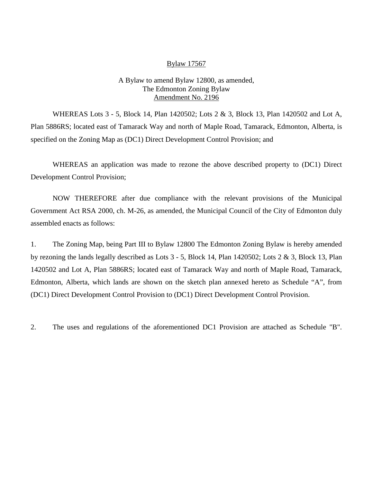#### Bylaw 17567

#### A Bylaw to amend Bylaw 12800, as amended, The Edmonton Zoning Bylaw Amendment No. 2196

WHEREAS Lots 3 - 5, Block 14, Plan 1420502; Lots 2 & 3, Block 13, Plan 1420502 and Lot A, Plan 5886RS; located east of Tamarack Way and north of Maple Road, Tamarack, Edmonton, Alberta, is specified on the Zoning Map as (DC1) Direct Development Control Provision; and

WHEREAS an application was made to rezone the above described property to (DC1) Direct Development Control Provision;

NOW THEREFORE after due compliance with the relevant provisions of the Municipal Government Act RSA 2000, ch. M-26, as amended, the Municipal Council of the City of Edmonton duly assembled enacts as follows:

1. The Zoning Map, being Part III to Bylaw 12800 The Edmonton Zoning Bylaw is hereby amended by rezoning the lands legally described as Lots 3 - 5, Block 14, Plan 1420502; Lots 2 & 3, Block 13, Plan 1420502 and Lot A, Plan 5886RS; located east of Tamarack Way and north of Maple Road, Tamarack, Edmonton, Alberta, which lands are shown on the sketch plan annexed hereto as Schedule "A", from (DC1) Direct Development Control Provision to (DC1) Direct Development Control Provision.

2. The uses and regulations of the aforementioned DC1 Provision are attached as Schedule "B".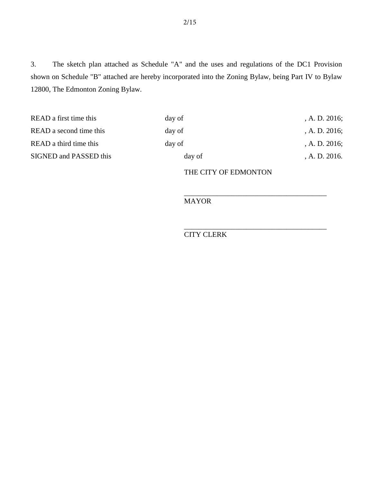3. The sketch plan attached as Schedule "A" and the uses and regulations of the DC1 Provision shown on Schedule "B" attached are hereby incorporated into the Zoning Bylaw, being Part IV to Bylaw 12800, The Edmonton Zoning Bylaw.

| day of | A. D. 2016; |
|--------|-------------|
| day of | A. D. 2016; |
| day of | A. D. 2016; |
| day of | A. D. 2016. |
|        |             |

THE CITY OF EDMONTON

\_\_\_\_\_\_\_\_\_\_\_\_\_\_\_\_\_\_\_\_\_\_\_\_\_\_\_\_\_\_\_\_\_\_\_\_\_\_\_

\_\_\_\_\_\_\_\_\_\_\_\_\_\_\_\_\_\_\_\_\_\_\_\_\_\_\_\_\_\_\_\_\_\_\_\_\_\_\_

MAYOR

CITY CLERK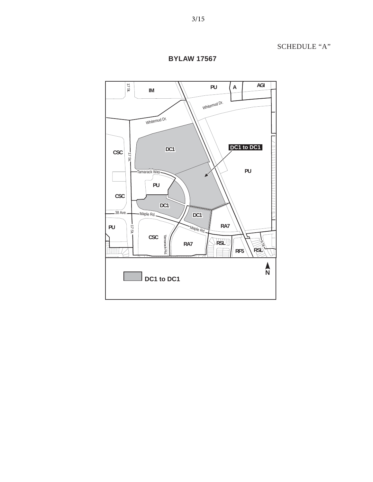

**BYLAW 17567**

SCHEDULE "A"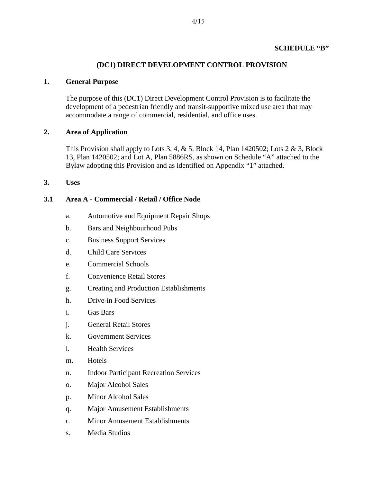### **SCHEDULE "B"**

### **(DC1) DIRECT DEVELOPMENT CONTROL PROVISION**

#### **1. General Purpose**

The purpose of this (DC1) Direct Development Control Provision is to facilitate the development of a pedestrian friendly and transit-supportive mixed use area that may accommodate a range of commercial, residential, and office uses.

#### **2. Area of Application**

This Provision shall apply to Lots 3, 4,  $\&$  5, Block 14, Plan 1420502; Lots 2  $\&$  3, Block 13, Plan 1420502; and Lot A, Plan 5886RS, as shown on Schedule "A" attached to the Bylaw adopting this Provision and as identified on Appendix "1" attached.

**3. Uses**

#### **3.1 Area A - Commercial / Retail / Office Node**

- a. [Automotive and Equipment Repair Shops](javascript:void(0);)
- b. Bars and Neighbourhood Pubs
- c. Business Support Services
- d. Child Care Services
- e. Commercial Schools
- f. Convenience Retail Stores
- g. Creating and Production Establishments
- h. Drive-in Food Services
- i. Gas Bars
- j. General Retail Stores
- k. Government Services
- l. Health Services
- m. Hotels
- n. Indoor Participant Recreation Services
- o. Major Alcohol Sales
- p. Minor Alcohol Sales
- q. Major Amusement Establishments
- r. Minor Amusement Establishments
- s. Media Studios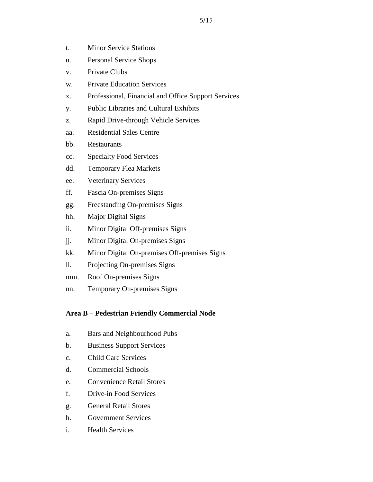- t. Minor Service Stations
- u. Personal Service Shops
- v. Private Clubs
- w. Private Education Services
- x. Professional, Financial and Office Support Services
- y. Public Libraries and Cultural Exhibits
- z. Rapid Drive-through Vehicle Services
- aa. Residential Sales Centre
- bb. Restaurants
- cc. Specialty Food Services
- dd. Temporary Flea Markets
- ee. Veterinary Services
- ff. Fascia On-premises Signs
- gg. Freestanding On-premises Signs
- hh. Major Digital Signs
- ii. Minor Digital Off-premises Signs
- jj. Minor Digital On-premises Signs
- kk. Minor Digital On-premises Off-premises Signs
- ll. Projecting On-premises Signs
- mm. Roof On-premises Signs
- nn. Temporary On-premises Signs

# **Area B – Pedestrian Friendly Commercial Node**

- a. Bars and Neighbourhood Pubs
- b. Business Support Services
- c. Child Care Services
- d. Commercial Schools
- e. Convenience Retail Stores
- f. Drive-in Food Services
- g. General Retail Stores
- h. Government Services
- i. Health Services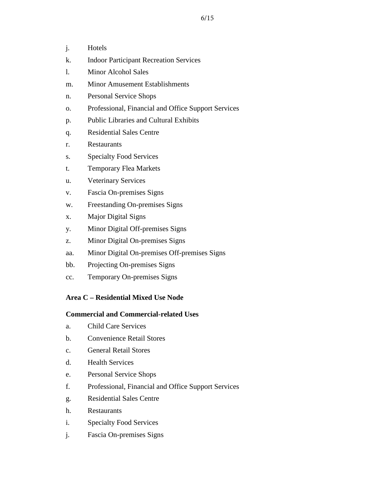- j. Hotels
- k. Indoor Participant Recreation Services
- l. Minor Alcohol Sales
- m. Minor Amusement Establishments
- n. Personal Service Shops
- o. Professional, Financial and Office Support Services
- p. Public Libraries and Cultural Exhibits
- q. Residential Sales Centre
- r. Restaurants
- s. Specialty Food Services
- t. Temporary Flea Markets
- u. Veterinary Services
- v. Fascia On-premises Signs
- w. Freestanding On-premises Signs
- x. Major Digital Signs
- y. Minor Digital Off-premises Signs
- z. Minor Digital On-premises Signs
- aa. Minor Digital On-premises Off-premises Signs
- bb. Projecting On-premises Signs
- cc. Temporary On-premises Signs

#### **Area C – Residential Mixed Use Node**

#### **Commercial and Commercial-related Uses**

- a. Child Care Services
- b. Convenience Retail Stores
- c. General Retail Stores
- d. Health Services
- e. Personal Service Shops
- f. Professional, Financial and Office Support Services
- g. Residential Sales Centre
- h. Restaurants
- i. Specialty Food Services
- j. Fascia On-premises Signs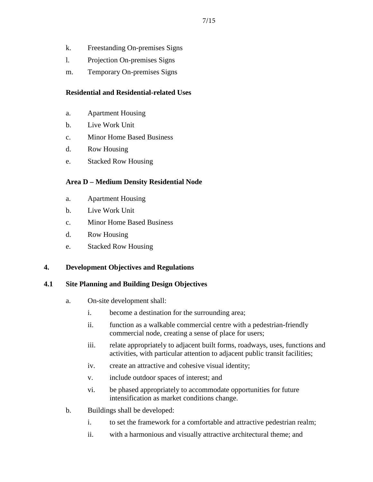- k. Freestanding On-premises Signs
- l. Projection On-premises Signs
- m. Temporary On-premises Signs

### **Residential and Residential-related Uses**

- a. Apartment Housing
- b. Live Work Unit
- c. Minor Home Based Business
- d. Row Housing
- e. Stacked Row Housing

# **Area D – Medium Density Residential Node**

- a. Apartment Housing
- b. Live Work Unit
- c. Minor Home Based Business
- d. Row Housing
- e. Stacked Row Housing

### **4. Development Objectives and Regulations**

### **4.1 Site Planning and Building Design Objectives**

- a. On-site development shall:
	- i. become a destination for the surrounding area;
	- ii. function as a walkable commercial centre with a pedestrian-friendly commercial node, creating a sense of place for users;
	- iii. relate appropriately to adjacent built forms, roadways, uses, functions and activities, with particular attention to adjacent public transit facilities;
	- iv. create an attractive and cohesive visual identity;
	- v. include outdoor spaces of interest; and
	- vi. be phased appropriately to accommodate opportunities for future intensification as market conditions change.
- b. Buildings shall be developed:
	- i. to set the framework for a comfortable and attractive pedestrian realm;
	- ii. with a harmonious and visually attractive architectural theme; and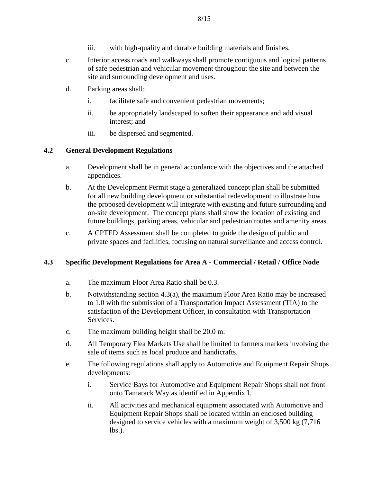- iii. with high-quality and durable building materials and finishes.
- c. Interior access roads and walkways shall promote contiguous and logical patterns of safe pedestrian and vehicular movement throughout the site and between the site and surrounding development and uses.
- d. Parking areas shall:
	- i. facilitate safe and convenient pedestrian movements;
	- ii. be appropriately landscaped to soften their appearance and add visual interest; and
	- iii. be dispersed and segmented.

### **4.2 General Development Regulations**

- a. Development shall be in general accordance with the objectives and the attached appendices.
- b. At the Development Permit stage a generalized concept plan shall be submitted for all new building development or substantial redevelopment to illustrate how the proposed development will integrate with existing and future surrounding and on-site development. The concept plans shall show the location of existing and future buildings, parking areas, vehicular and pedestrian routes and amenity areas.
- c. A CPTED Assessment shall be completed to guide the design of public and private spaces and facilities, focusing on natural surveillance and access control.

#### **4.3 Specific Development Regulations for Area A - Commercial / Retail / Office Node**

- a. The maximum Floor Area Ratio shall be 0.3.
- b. Notwithstanding section 4.3(a), the maximum Floor Area Ratio may be increased to 1.0 with the submission of a Transportation Impact Assessment (TIA) to the satisfaction of the Development Officer, in consultation with Transportation Services.
- c. The maximum building height shall be 20.0 m.
- d. All Temporary Flea Markets Use shall be limited to farmers markets involving the sale of items such as local produce and handicrafts.
- e. The following regulations shall apply to Automotive and Equipment Repair Shops developments:
	- i. Service Bays for Automotive and Equipment Repair Shops shall not front onto Tamarack Way as identified in Appendix I.
	- ii. All activities and mechanical equipment associated with Automotive and Equipment Repair Shops shall be located within an enclosed building designed to service vehicles with a maximum weight of 3,500 kg (7,716  $lbs.$ ).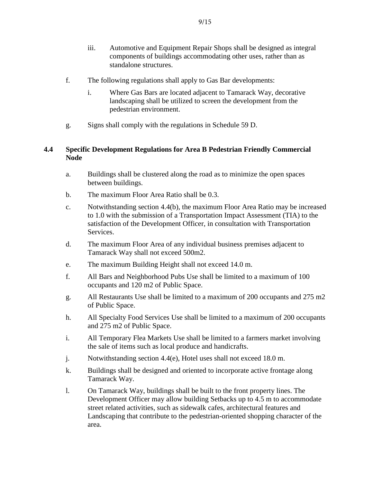- iii. Automotive and Equipment Repair Shops shall be designed as integral components of buildings accommodating other uses, rather than as standalone structures.
- f. The following regulations shall apply to Gas Bar developments:
	- i. Where Gas Bars are located adjacent to Tamarack Way, decorative landscaping shall be utilized to screen the development from the pedestrian environment.
- g. Signs shall comply with the regulations in Schedule 59 D.

### **4.4 Specific Development Regulations for Area B Pedestrian Friendly Commercial Node**

- a. Buildings shall be clustered along the road as to minimize the open spaces between buildings.
- b. The maximum Floor Area Ratio shall be 0.3.
- c. Notwithstanding section 4.4(b), the maximum Floor Area Ratio may be increased to 1.0 with the submission of a Transportation Impact Assessment (TIA) to the satisfaction of the Development Officer, in consultation with Transportation Services.
- d. The maximum Floor Area of any individual business premises adjacent to Tamarack Way shall not exceed 500m2.
- e. The maximum Building Height shall not exceed 14.0 m.
- f. All Bars and Neighborhood Pubs Use shall be limited to a maximum of 100 occupants and 120 m2 of Public Space.
- g. All Restaurants Use shall be limited to a maximum of 200 occupants and 275 m2 of Public Space.
- h. All Specialty Food Services Use shall be limited to a maximum of 200 occupants and 275 m2 of Public Space.
- i. All Temporary Flea Markets Use shall be limited to a farmers market involving the sale of items such as local produce and handicrafts.
- j. Notwithstanding section 4.4(e), Hotel uses shall not exceed 18.0 m.
- k. Buildings shall be designed and oriented to incorporate active frontage along Tamarack Way.
- l. On Tamarack Way, buildings shall be built to the front property lines. The Development Officer may allow building Setbacks up to 4.5 m to accommodate street related activities, such as sidewalk cafes, architectural features and Landscaping that contribute to the pedestrian-oriented shopping character of the area.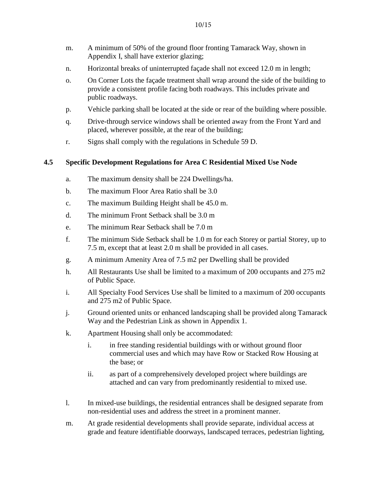- m. A minimum of 50% of the ground floor fronting Tamarack Way, shown in Appendix I, shall have exterior glazing;
- n. Horizontal breaks of uninterrupted façade shall not exceed 12.0 m in length;
- o. On Corner Lots the façade treatment shall wrap around the side of the building to provide a consistent profile facing both roadways. This includes private and public roadways.
- p. Vehicle parking shall be located at the side or rear of the building where possible.
- q. Drive-through service windows shall be oriented away from the Front Yard and placed, wherever possible, at the rear of the building;
- r. Signs shall comply with the regulations in Schedule 59 D.

### **4.5 Specific Development Regulations for Area C Residential Mixed Use Node**

- a. The maximum density shall be 224 Dwellings/ha.
- b. The maximum Floor Area Ratio shall be 3.0
- c. The maximum Building Height shall be 45.0 m.
- d. The minimum Front Setback shall be 3.0 m
- e. The minimum Rear Setback shall be 7.0 m
- f. The minimum Side Setback shall be 1.0 m for each Storey or partial Storey, up to 7.5 m, except that at least 2.0 m shall be provided in all cases.
- g. A minimum Amenity Area of 7.5 m2 per Dwelling shall be provided
- h. All Restaurants Use shall be limited to a maximum of 200 occupants and 275 m2 of Public Space.
- i. All Specialty Food Services Use shall be limited to a maximum of 200 occupants and 275 m2 of Public Space.
- j. Ground oriented units or enhanced landscaping shall be provided along Tamarack Way and the Pedestrian Link as shown in Appendix 1.
- k. Apartment Housing shall only be accommodated:
	- i. in free standing residential buildings with or without ground floor commercial uses and which may have Row or Stacked Row Housing at the base; or
	- ii. as part of a comprehensively developed project where buildings are attached and can vary from predominantly residential to mixed use.
- l. In mixed-use buildings, the residential entrances shall be designed separate from non-residential uses and address the street in a prominent manner.
- m. At grade residential developments shall provide separate, individual access at grade and feature identifiable doorways, landscaped terraces, pedestrian lighting,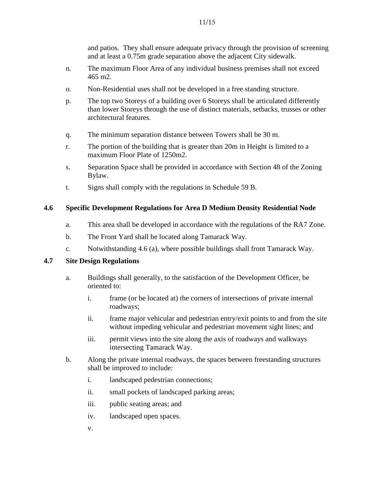and patios. They shall ensure adequate privacy through the provision of screening and at least a 0.75m grade separation above the adjacent City sidewalk.

- n. The maximum Floor Area of any individual business premises shall not exceed 465 m2.
- o. Non-Residential uses shall not be developed in a free standing structure.
- p. The top two Storeys of a building over 6 Storeys shall be articulated differently than lower Storeys through the use of distinct materials, setbacks, trusses or other architectural features.
- q. The minimum separation distance between Towers shall be 30 m.
- r. The portion of the building that is greater than 20m in Height is limited to a maximum Floor Plate of 1250m2.
- s. Separation Space shall be provided in accordance with Section 48 of the Zoning Bylaw.
- t. Signs shall comply with the regulations in Schedule 59 B.

# **4.6 Specific Development Regulations for Area D Medium Density Residential Node**

- a. This area shall be developed in accordance with the regulations of the RA7 Zone.
- b. The Front Yard shall be located along Tamarack Way.
- c. Notwithstanding 4.6 (a), where possible buildings shall front Tamarack Way.

# **4.7 Site Design Regulations**

- a. Buildings shall generally, to the satisfaction of the Development Officer, be oriented to:
	- i. frame (or be located at) the corners of intersections of private internal roadways;
	- ii. frame major vehicular and pedestrian entry/exit points to and from the site without impeding vehicular and pedestrian movement sight lines; and
	- iii. permit views into the site along the axis of roadways and walkways intersecting Tamarack Way.
- b. Along the private internal roadways, the spaces between freestanding structures shall be improved to include:
	- i. landscaped pedestrian connections;
	- ii. small pockets of landscaped parking areas;
	- iii. public seating areas; and
	- iv. landscaped open spaces.
	- v.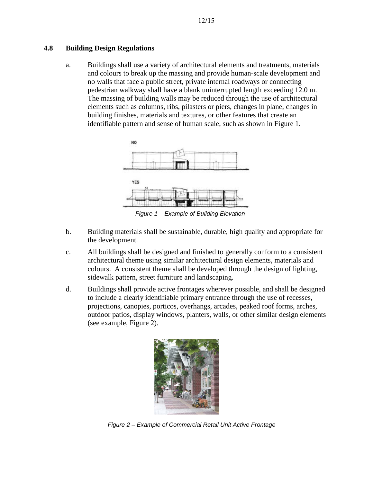### **4.8 Building Design Regulations**

a. Buildings shall use a variety of architectural elements and treatments, materials and colours to break up the massing and provide human-scale development and no walls that face a public street, private internal roadways or connecting pedestrian walkway shall have a blank uninterrupted length exceeding 12.0 m. The massing of building walls may be reduced through the use of architectural elements such as columns, ribs, pilasters or piers, changes in plane, changes in building finishes, materials and textures, or other features that create an identifiable pattern and sense of human scale, such as shown in Figure 1.



*Figure 1 – Example of Building Elevation*

- b. Building materials shall be sustainable, durable, high quality and appropriate for the development.
- c. All buildings shall be designed and finished to generally conform to a consistent architectural theme using similar architectural design elements, materials and colours. A consistent theme shall be developed through the design of lighting, sidewalk pattern, street furniture and landscaping.
- d. Buildings shall provide active frontages wherever possible, and shall be designed to include a clearly identifiable primary entrance through the use of recesses, projections, canopies, porticos, overhangs, arcades, peaked roof forms, arches, outdoor patios, display windows, planters, walls, or other similar design elements (see example, Figure 2).



*Figure 2 – Example of Commercial Retail Unit Active Frontage*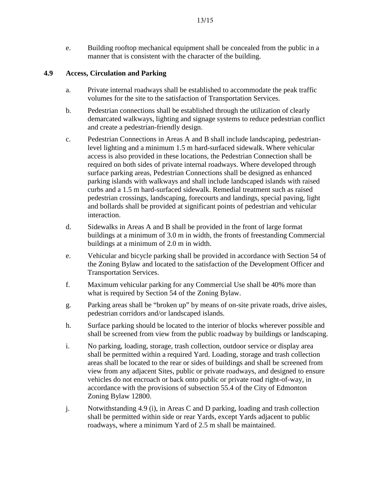e. Building rooftop mechanical equipment shall be concealed from the public in a manner that is consistent with the character of the building.

# **4.9 Access, Circulation and Parking**

- a. Private internal roadways shall be established to accommodate the peak traffic volumes for the site to the satisfaction of Transportation Services.
- b. Pedestrian connections shall be established through the utilization of clearly demarcated walkways, lighting and signage systems to reduce pedestrian conflict and create a pedestrian-friendly design.
- c. Pedestrian Connections in Areas A and B shall include landscaping, pedestrianlevel lighting and a minimum 1.5 m hard-surfaced sidewalk. Where vehicular access is also provided in these locations, the Pedestrian Connection shall be required on both sides of private internal roadways. Where developed through surface parking areas, Pedestrian Connections shall be designed as enhanced parking islands with walkways and shall include landscaped islands with raised curbs and a 1.5 m hard-surfaced sidewalk. Remedial treatment such as raised pedestrian crossings, landscaping, forecourts and landings, special paving, light and bollards shall be provided at significant points of pedestrian and vehicular interaction.
- d. Sidewalks in Areas A and B shall be provided in the front of large format buildings at a minimum of 3.0 m in width, the fronts of freestanding Commercial buildings at a minimum of 2.0 m in width.
- e. Vehicular and bicycle parking shall be provided in accordance with Section 54 of the Zoning Bylaw and located to the satisfaction of the Development Officer and Transportation Services.
- f. Maximum vehicular parking for any Commercial Use shall be 40% more than what is required by Section 54 of the Zoning Bylaw.
- g. Parking areas shall be "broken up" by means of on-site private roads, drive aisles, pedestrian corridors and/or landscaped islands.
- h. Surface parking should be located to the interior of blocks wherever possible and shall be screened from view from the public roadway by buildings or landscaping.
- i. No parking, loading, storage, trash collection, outdoor service or display area shall be permitted within a required Yard. Loading, storage and trash collection areas shall be located to the rear or sides of buildings and shall be screened from view from any adjacent Sites, public or private roadways, and designed to ensure vehicles do not encroach or back onto public or private road right-of-way, in accordance with the provisions of subsection 55.4 of the City of Edmonton Zoning Bylaw 12800.
- j. Notwithstanding 4.9 (i), in Areas C and D parking, loading and trash collection shall be permitted within side or rear Yards, except Yards adjacent to public roadways, where a minimum Yard of 2.5 m shall be maintained.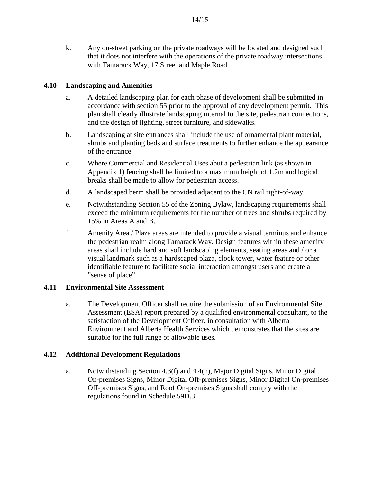k. Any on-street parking on the private roadways will be located and designed such that it does not interfere with the operations of the private roadway intersections with Tamarack Way, 17 Street and Maple Road.

# **4.10 Landscaping and Amenities**

- a. A detailed landscaping plan for each phase of development shall be submitted in accordance with section 55 prior to the approval of any development permit. This plan shall clearly illustrate landscaping internal to the site, pedestrian connections, and the design of lighting, street furniture, and sidewalks.
- b. Landscaping at site entrances shall include the use of ornamental plant material, shrubs and planting beds and surface treatments to further enhance the appearance of the entrance.
- c. Where Commercial and Residential Uses abut a pedestrian link (as shown in Appendix 1) fencing shall be limited to a maximum height of 1.2m and logical breaks shall be made to allow for pedestrian access.
- d. A landscaped berm shall be provided adjacent to the CN rail right-of-way.
- e. Notwithstanding Section 55 of the Zoning Bylaw, landscaping requirements shall exceed the minimum requirements for the number of trees and shrubs required by 15% in Areas A and B.
- f. Amenity Area / Plaza areas are intended to provide a visual terminus and enhance the pedestrian realm along Tamarack Way. Design features within these amenity areas shall include hard and soft landscaping elements, seating areas and / or a visual landmark such as a hardscaped plaza, clock tower, water feature or other identifiable feature to facilitate social interaction amongst users and create a "sense of place".

### **4.11 Environmental Site Assessment**

a. The Development Officer shall require the submission of an Environmental Site Assessment (ESA) report prepared by a qualified environmental consultant, to the satisfaction of the Development Officer, in consultation with Alberta Environment and Alberta Health Services which demonstrates that the sites are suitable for the full range of allowable uses.

### **4.12 Additional Development Regulations**

a. Notwithstanding Section 4.3(f) and 4.4(n), Major Digital Signs, Minor Digital On-premises Signs, Minor Digital Off-premises Signs, Minor Digital On-premises Off-premises Signs, and Roof On-premises Signs shall comply with the regulations found in Schedule 59D.3.